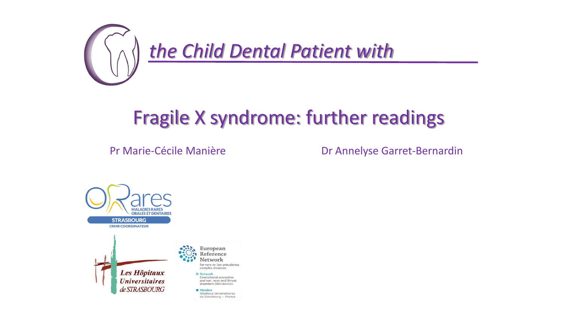

## Fragile X syndrome: further readings

Pr Marie-Cécile Manière **Dr Annelyse Garret-Bernardin** 





European Reference Network for rare or low prevalence complex diseases

> **O** Network Craniofacial anomalies and ear, nose and throat disorders (ERN CRANIO)

**O** Member Hôpitaux Universitaires de Strasbourg - France